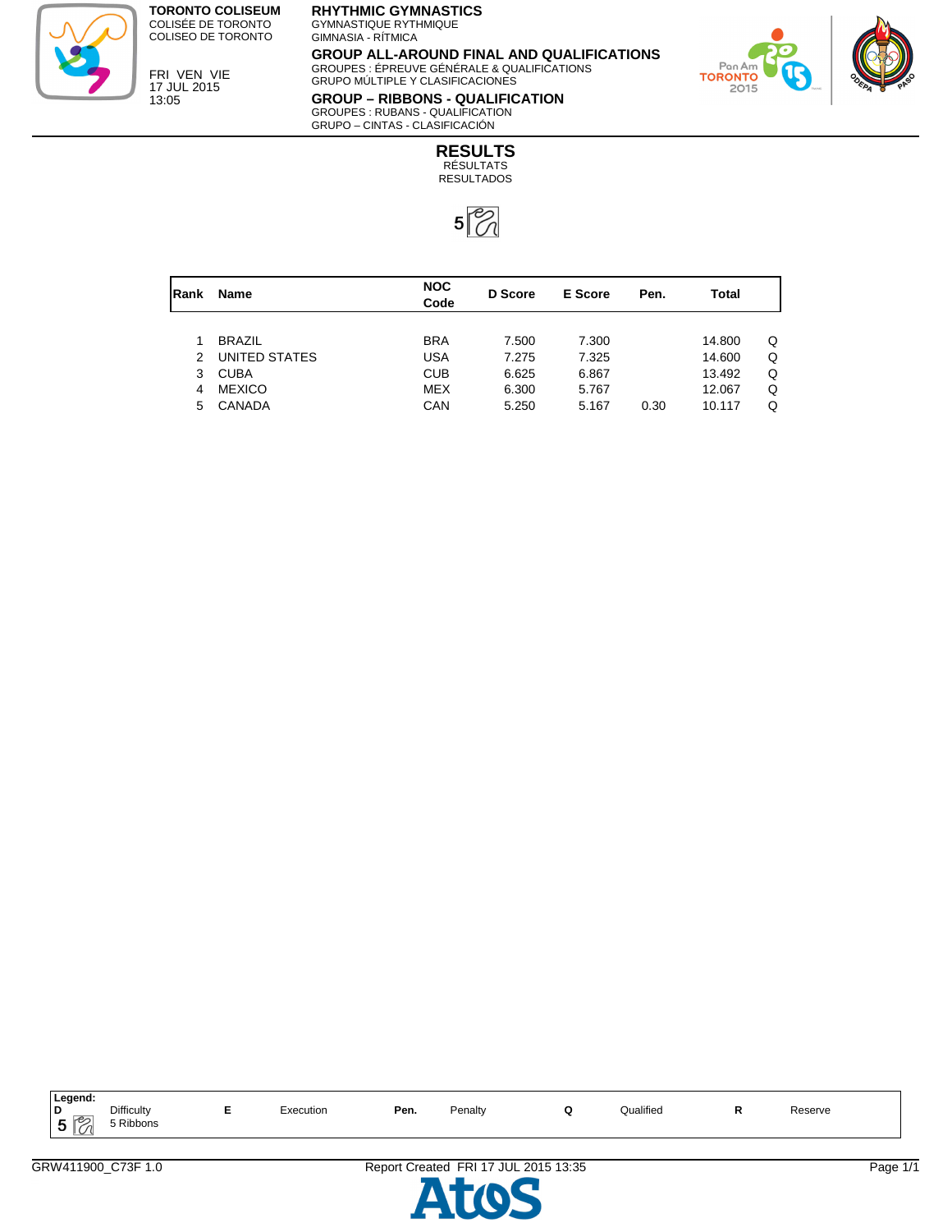

**TORONTO COLISEUM** COLISÉE DE TORONTO COLISEO DE TORONTO

FRI VEN VIE 17 JUL 2015 13:05

## **RHYTHMIC GYMNASTICS**

GYMNASTIQUE RYTHMIQUE GIMNASIA - RÍTMICA

**GROUP ALL-AROUND FINAL AND QUALIFICATIONS** GROUPES : ÉPREUVE GÉNÉRALE & QUALIFICATIONS GRUPO MÚLTIPLE Y CLASIFICACIONES



**GROUP – RIBBONS - QUALIFICATION** GROUPES : RUBANS - QUALIFICATION GRUPO – CINTAS - CLASIFICACIÓN

> **RESULTS** RÉSULTATS RESULTADOS



| Rank          | <b>Name</b>   | <b>NOC</b><br>D Score<br>Code |       | E Score | Pen. | Total  |   |
|---------------|---------------|-------------------------------|-------|---------|------|--------|---|
|               |               |                               |       |         |      |        |   |
|               | <b>BRAZIL</b> | <b>BRA</b>                    | 7.500 | 7.300   |      | 14.800 | Q |
| $\mathcal{P}$ | UNITED STATES | USA                           | 7.275 | 7.325   |      | 14.600 | Q |
| 3             | <b>CUBA</b>   | <b>CUB</b>                    | 6.625 | 6.867   |      | 13.492 | Q |
| 4             | <b>MEXICO</b> | <b>MEX</b>                    | 6.300 | 5.767   |      | 12.067 | Q |
| 5.            | CANADA        | CAN                           | 5.250 | 5.167   | 0.30 | 10.117 | Q |

| <b>Legend</b><br>Difficulty<br><b>Qualified</b><br>D<br>Penalty<br>Pen.<br>Execution<br>n<br>$\overline{\phantom{a}}$<br>-<br>$\sim$ $\cdot$ | Reserve |
|----------------------------------------------------------------------------------------------------------------------------------------------|---------|
| $\sim$ $\sim$ $\sim$<br>Ribbons<br>w<br>$\sim$                                                                                               |         |